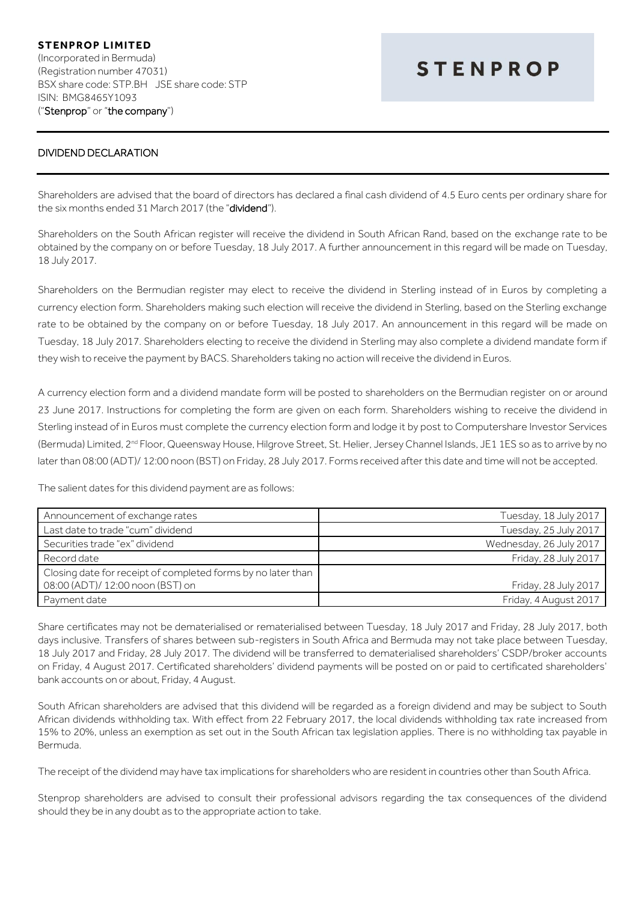## **STENPROP LIMITED** (Incorporated in Bermuda) (Registration number 47031) BSX share code: STP.BH JSE share code: STP ISIN: BMG8465Y1093 ("Stenprop" or "the company")

## **STENPROP**

## DIVIDEND DECLARATION

Shareholders are advised that the board of directors has declared a final cash dividend of 4.5 Euro cents per ordinary share for the six months ended 31 March 2017 (the "dividend").

Shareholders on the South African register will receive the dividend in South African Rand, based on the exchange rate to be obtained by the company on or before Tuesday, 18 July 2017. A further announcement in this regard will be made on Tuesday, 18 July 2017.

Shareholders on the Bermudian register may elect to receive the dividend in Sterling instead of in Euros by completing a currency election form. Shareholders making such election will receive the dividend in Sterling, based on the Sterling exchange rate to be obtained by the company on or before Tuesday, 18 July 2017. An announcement in this regard will be made on Tuesday, 18 July 2017. Shareholders electing to receive the dividend in Sterling may also complete a dividend mandate form if they wish to receive the payment by BACS. Shareholders taking no action will receive the dividend in Euros.

A currency election form and a dividend mandate form will be posted to shareholders on the Bermudian register on or around 23 June 2017. Instructions for completing the form are given on each form. Shareholders wishing to receive the dividend in Sterling instead of in Euros must complete the currency election form and lodge it by post to Computershare Investor Services (Bermuda) Limited, 2nd Floor, Queensway House, Hilgrove Street, St. Helier, Jersey Channel Islands, JE1 1ES so as to arrive by no later than 08:00 (ADT)/ 12:00 noon (BST) on Friday, 28 July 2017. Forms received after this date and time will not be accepted.

The salient dates for this dividend payment are as follows:

| Announcement of exchange rates                               | Tuesday, 18 July 2017   |
|--------------------------------------------------------------|-------------------------|
| Last date to trade "cum" dividend                            | Tuesday, 25 July 2017   |
| Securities trade "ex" dividend                               | Wednesday, 26 July 2017 |
| Record date                                                  | Friday, 28 July 2017    |
| Closing date for receipt of completed forms by no later than |                         |
| 08:00 (ADT)/ 12:00 noon (BST) on                             | Friday, 28 July 2017    |
| Payment date                                                 | Friday, 4 August 2017   |

Share certificates may not be dematerialised or rematerialised between Tuesday, 18 July 2017 and Friday, 28 July 2017, both days inclusive. Transfers of shares between sub-registers in South Africa and Bermuda may not take place between Tuesday, 18 July 2017 and Friday, 28 July 2017. The dividend will be transferred to dematerialised shareholders' CSDP/broker accounts on Friday, 4 August 2017. Certificated shareholders' dividend payments will be posted on or paid to certificated shareholders' bank accounts on or about, Friday, 4 August.

South African shareholders are advised that this dividend will be regarded as a foreign dividend and may be subject to South African dividends withholding tax. With effect from 22 February 2017, the local dividends withholding tax rate increased from 15% to 20%, unless an exemption as set out in the South African tax legislation applies. There is no withholding tax payable in Bermuda.

The receipt of the dividend may have tax implications for shareholders who are resident in countries other than South Africa.

Stenprop shareholders are advised to consult their professional advisors regarding the tax consequences of the dividend should they be in any doubt as to the appropriate action to take.